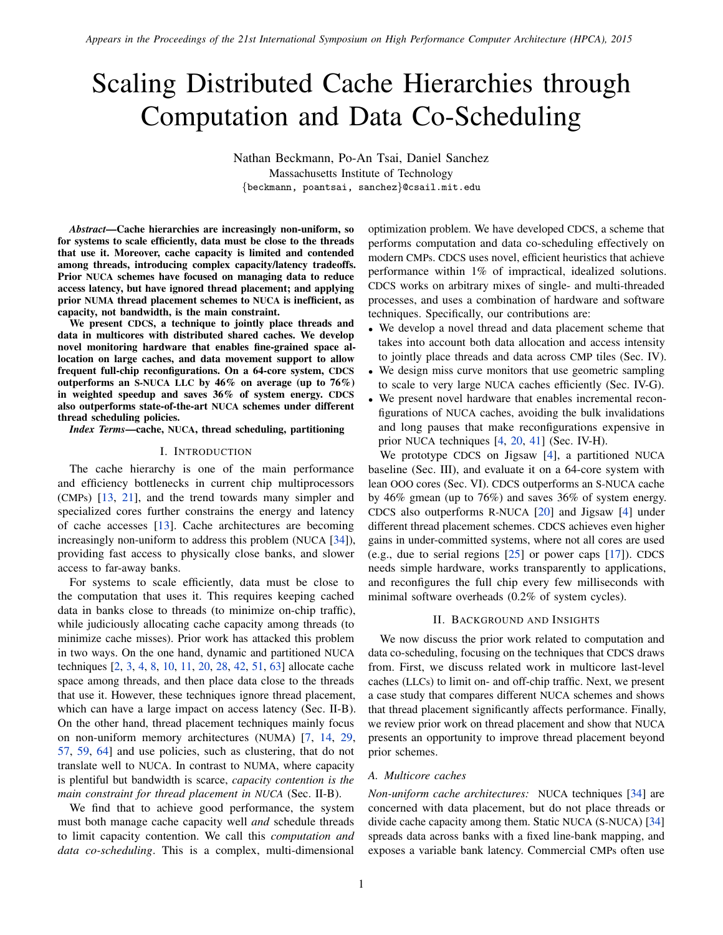# Scaling Distributed Cache Hierarchies through Computation and Data Co-Scheduling

Nathan Beckmann, Po-An Tsai, Daniel Sanchez Massachusetts Institute of Technology {beckmann, poantsai, sanchez}@csail.mit.edu

*Abstract*—Cache hierarchies are increasingly non-uniform, so for systems to scale efficiently, data must be close to the threads that use it. Moreover, cache capacity is limited and contended among threads, introducing complex capacity/latency tradeoffs. Prior NUCA schemes have focused on managing data to reduce access latency, but have ignored thread placement; and applying prior NUMA thread placement schemes to NUCA is inefficient, as capacity, not bandwidth, is the main constraint.

We present CDCS, a technique to jointly place threads and data in multicores with distributed shared caches. We develop novel monitoring hardware that enables fine-grained space allocation on large caches, and data movement support to allow frequent full-chip reconfigurations. On a 64-core system, CDCS outperforms an S-NUCA LLC by 46% on average (up to 76%) in weighted speedup and saves 36% of system energy. CDCS also outperforms state-of-the-art NUCA schemes under different thread scheduling policies.

*Index Terms*—cache, NUCA, thread scheduling, partitioning

## I. INTRODUCTION

The cache hierarchy is one of the main performance and efficiency bottlenecks in current chip multiprocessors (CMPs) [\[13,](#page-12-0) [21\]](#page-12-1), and the trend towards many simpler and specialized cores further constrains the energy and latency of cache accesses [\[13\]](#page-12-0). Cache architectures are becoming increasingly non-uniform to address this problem (NUCA [\[34\]](#page-12-2)), providing fast access to physically close banks, and slower access to far-away banks.

For systems to scale efficiently, data must be close to the computation that uses it. This requires keeping cached data in banks close to threads (to minimize on-chip traffic), while judiciously allocating cache capacity among threads (to minimize cache misses). Prior work has attacked this problem in two ways. On the one hand, dynamic and partitioned NUCA techniques [\[2,](#page-12-3) [3,](#page-12-4) [4,](#page-12-5) [8,](#page-12-6) [10,](#page-12-7) [11,](#page-12-8) [20,](#page-12-9) [28,](#page-12-10) [42,](#page-12-11) [51,](#page-12-12) [63\]](#page-12-13) allocate cache space among threads, and then place data close to the threads that use it. However, these techniques ignore thread placement, which can have a large impact on access latency [\(Sec.](#page-1-0) II-B). On the other hand, thread placement techniques mainly focus on non-uniform memory architectures (NUMA) [\[7,](#page-12-14) [14,](#page-12-15) [29,](#page-12-16) [57,](#page-12-17) [59,](#page-12-18) [64\]](#page-12-19) and use policies, such as clustering, that do not translate well to NUCA. In contrast to NUMA, where capacity is plentiful but bandwidth is scarce, *capacity contention is the main constraint for thread placement in NUCA* [\(Sec. II-B\)](#page-1-0).

We find that to achieve good performance, the system must both manage cache capacity well *and* schedule threads to limit capacity contention. We call this *computation and data co-scheduling*. This is a complex, multi-dimensional optimization problem. We have developed CDCS, a scheme that performs computation and data co-scheduling effectively on modern CMPs. CDCS uses novel, efficient heuristics that achieve performance within 1% of impractical, idealized solutions. CDCS works on arbitrary mixes of single- and multi-threaded processes, and uses a combination of hardware and software techniques. Specifically, our contributions are:

- We develop a novel thread and data placement scheme that takes into account both data allocation and access intensity to jointly place threads and data across CMP tiles [\(Sec. IV\)](#page-4-0).
- We design miss curve monitors that use geometric sampling to scale to very large NUCA caches efficiently [\(Sec. IV-G\)](#page-6-0).
- We present novel hardware that enables incremental reconfigurations of NUCA caches, avoiding the bulk invalidations and long pauses that make reconfigurations expensive in prior NUCA techniques [\[4,](#page-12-5) [20,](#page-12-9) [41\]](#page-12-20) [\(Sec. IV-H\)](#page-7-0).

We prototype CDCS on Jigsaw [\[4\]](#page-12-5), a partitioned NUCA baseline [\(Sec. III\)](#page-3-0), and evaluate it on a 64-core system with lean OOO cores [\(Sec. VI\)](#page-9-0). CDCS outperforms an S-NUCA cache by 46% gmean (up to 76%) and saves 36% of system energy. CDCS also outperforms R-NUCA [\[20\]](#page-12-9) and Jigsaw [\[4\]](#page-12-5) under different thread placement schemes. CDCS achieves even higher gains in under-committed systems, where not all cores are used (e.g., due to serial regions [\[25\]](#page-12-21) or power caps [\[17\]](#page-12-22)). CDCS needs simple hardware, works transparently to applications, and reconfigures the full chip every few milliseconds with minimal software overheads (0.2% of system cycles).

#### II. BACKGROUND AND INSIGHTS

We now discuss the prior work related to computation and data co-scheduling, focusing on the techniques that CDCS draws from. First, we discuss related work in multicore last-level caches (LLCs) to limit on- and off-chip traffic. Next, we present a case study that compares different NUCA schemes and shows that thread placement significantly affects performance. Finally, we review prior work on thread placement and show that NUCA presents an opportunity to improve thread placement beyond prior schemes.

#### *A. Multicore caches*

*Non-uniform cache architectures:* NUCA techniques [\[34\]](#page-12-2) are concerned with data placement, but do not place threads or divide cache capacity among them. Static NUCA (S-NUCA) [\[34\]](#page-12-2) spreads data across banks with a fixed line-bank mapping, and exposes a variable bank latency. Commercial CMPs often use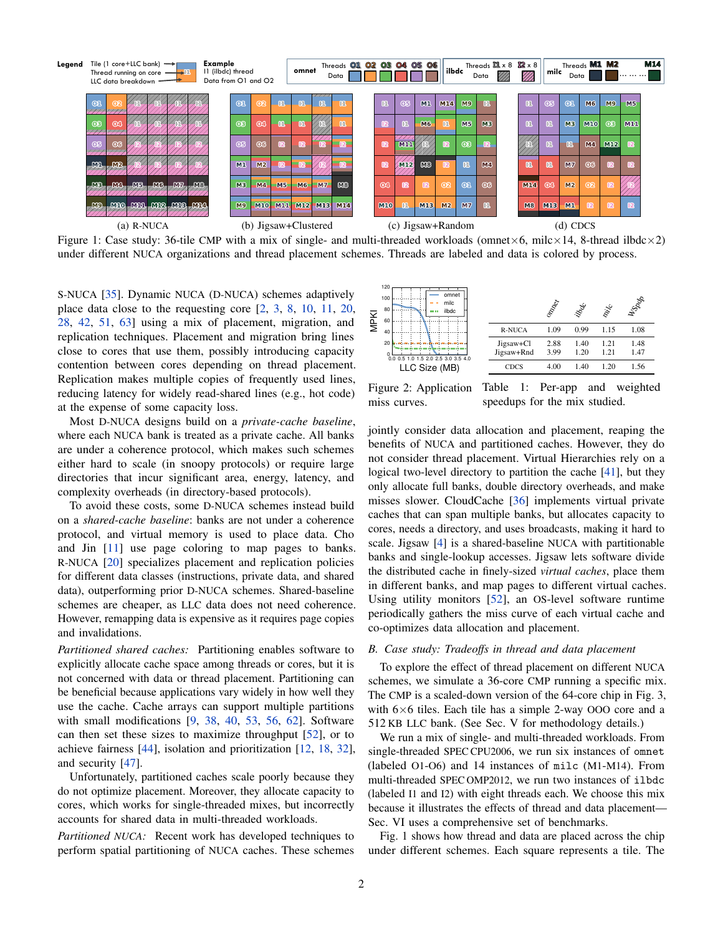<span id="page-1-1"></span>

Figure 1: Case study: 36-tile CMP with a mix of single- and multi-threaded workloads (omnet×6, milc×14, 8-thread ilbdc×2) under different NUCA organizations and thread placement schemes. Threads are labeled and data is colored by process.

miss curves.

S-NUCA [\[35\]](#page-12-23). Dynamic NUCA (D-NUCA) schemes adaptively place data close to the requesting core [\[2,](#page-12-3) [3,](#page-12-4) [8,](#page-12-6) [10,](#page-12-7) [11,](#page-12-8) [20,](#page-12-9) [28,](#page-12-10) [42,](#page-12-11) [51,](#page-12-12) [63\]](#page-12-13) using a mix of placement, migration, and replication techniques. Placement and migration bring lines close to cores that use them, possibly introducing capacity contention between cores depending on thread placement. Replication makes multiple copies of frequently used lines, reducing latency for widely read-shared lines (e.g., hot code) at the expense of some capacity loss.

Most D-NUCA designs build on a *private-cache baseline*, where each NUCA bank is treated as a private cache. All banks are under a coherence protocol, which makes such schemes either hard to scale (in snoopy protocols) or require large directories that incur significant area, energy, latency, and complexity overheads (in directory-based protocols).

To avoid these costs, some D-NUCA schemes instead build on a *shared-cache baseline*: banks are not under a coherence protocol, and virtual memory is used to place data. Cho and Jin [\[11\]](#page-12-8) use page coloring to map pages to banks. R-NUCA [\[20\]](#page-12-9) specializes placement and replication policies for different data classes (instructions, private data, and shared data), outperforming prior D-NUCA schemes. Shared-baseline schemes are cheaper, as LLC data does not need coherence. However, remapping data is expensive as it requires page copies and invalidations.

*Partitioned shared caches:* Partitioning enables software to explicitly allocate cache space among threads or cores, but it is not concerned with data or thread placement. Partitioning can be beneficial because applications vary widely in how well they use the cache. Cache arrays can support multiple partitions with small modifications [\[9,](#page-12-24) [38,](#page-12-25) [40,](#page-12-26) [53,](#page-12-27) [56,](#page-12-28) [62\]](#page-12-29). Software can then set these sizes to maximize throughput [\[52\]](#page-12-30), or to achieve fairness [\[44\]](#page-12-31), isolation and prioritization [\[12,](#page-12-32) [18,](#page-12-33) [32\]](#page-12-34), and security [\[47\]](#page-12-35).

Unfortunately, partitioned caches scale poorly because they do not optimize placement. Moreover, they allocate capacity to cores, which works for single-threaded mixes, but incorrectly accounts for shared data in multi-threaded workloads.

*Partitioned NUCA:* Recent work has developed techniques to perform spatial partitioning of NUCA caches. These schemes

<span id="page-1-2"></span>

Figure 2: Application Table 1: Per-app and weighted speedups for the mix studied.

milc

W<sub>Spdp</sub>

jointly consider data allocation and placement, reaping the benefits of NUCA and partitioned caches. However, they do not consider thread placement. Virtual Hierarchies rely on a logical two-level directory to partition the cache [\[41\]](#page-12-20), but they only allocate full banks, double directory overheads, and make misses slower. CloudCache [\[36\]](#page-12-36) implements virtual private caches that can span multiple banks, but allocates capacity to cores, needs a directory, and uses broadcasts, making it hard to scale. Jigsaw [\[4\]](#page-12-5) is a shared-baseline NUCA with partitionable banks and single-lookup accesses. Jigsaw lets software divide the distributed cache in finely-sized *virtual caches*, place them in different banks, and map pages to different virtual caches. Using utility monitors [\[52\]](#page-12-30), an OS-level software runtime periodically gathers the miss curve of each virtual cache and co-optimizes data allocation and placement.

### <span id="page-1-0"></span>*B. Case study: Tradeoffs in thread and data placement*

To explore the effect of thread placement on different NUCA schemes, we simulate a 36-core CMP running a specific mix. The CMP is a scaled-down version of the 64-core chip in [Fig. 3,](#page-3-1) with  $6\times 6$  tiles. Each tile has a simple 2-way OOO core and a 512 KB LLC bank. (See [Sec. V](#page-8-0) for methodology details.)

We run a mix of single- and multi-threaded workloads. From single-threaded SPEC CPU2006, we run six instances of omnet (labeled O1-O6) and 14 instances of milc (M1-M14). From multi-threaded SPEC OMP2012, we run two instances of ilbdc (labeled I1 and I2) with eight threads each. We choose this mix because it illustrates the effects of thread and data placement— [Sec. VI](#page-9-0) uses a comprehensive set of benchmarks.

[Fig. 1](#page-1-1) shows how thread and data are placed across the chip under different schemes. Each square represents a tile. The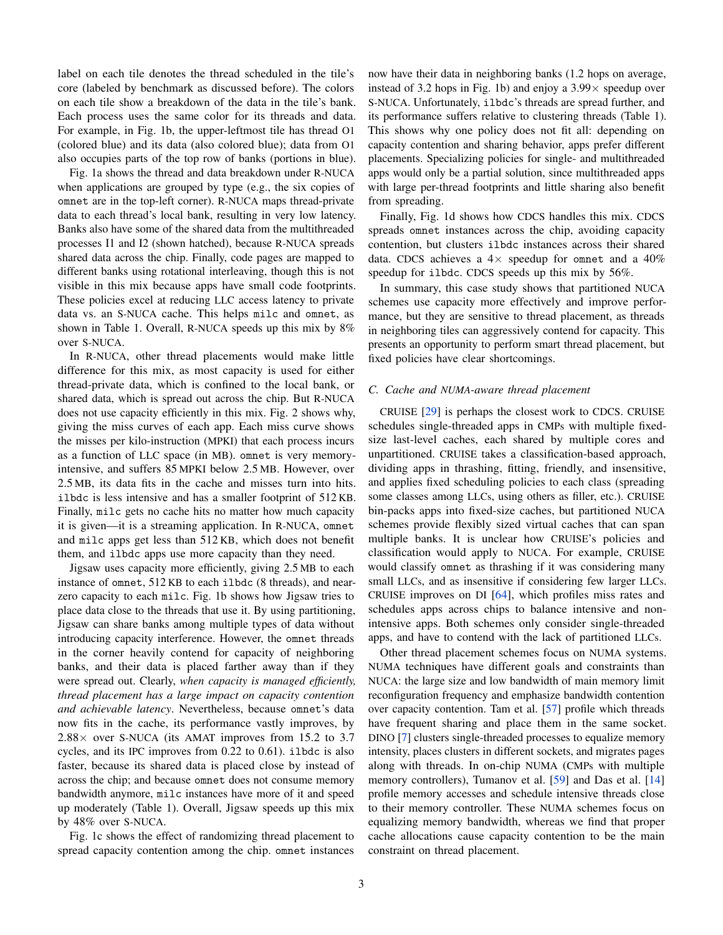label on each tile denotes the thread scheduled in the tile's core (labeled by benchmark as discussed before). The colors on each tile show a breakdown of the data in the tile's bank. Each process uses the same color for its threads and data. For example, in [Fig. 1b,](#page-1-1) the upper-leftmost tile has thread O1 (colored blue) and its data (also colored blue); data from O1 also occupies parts of the top row of banks (portions in blue).

[Fig. 1a](#page-1-1) shows the thread and data breakdown under R-NUCA when applications are grouped by type (e.g., the six copies of omnet are in the top-left corner). R-NUCA maps thread-private data to each thread's local bank, resulting in very low latency. Banks also have some of the shared data from the multithreaded processes I1 and I2 (shown hatched), because R-NUCA spreads shared data across the chip. Finally, code pages are mapped to different banks using rotational interleaving, though this is not visible in this mix because apps have small code footprints. These policies excel at reducing LLC access latency to private data vs. an S-NUCA cache. This helps milc and omnet, as shown in Table [1.](#page-1-2) Overall, R-NUCA speeds up this mix by 8% over S-NUCA.

In R-NUCA, other thread placements would make little difference for this mix, as most capacity is used for either thread-private data, which is confined to the local bank, or shared data, which is spread out across the chip. But R-NUCA does not use capacity efficiently in this mix. [Fig. 2](#page-1-2) shows why, giving the miss curves of each app. Each miss curve shows the misses per kilo-instruction (MPKI) that each process incurs as a function of LLC space (in MB). omnet is very memoryintensive, and suffers 85 MPKI below 2.5 MB. However, over 2.5 MB, its data fits in the cache and misses turn into hits. ilbdc is less intensive and has a smaller footprint of 512 KB. Finally, milc gets no cache hits no matter how much capacity it is given—it is a streaming application. In R-NUCA, omnet and milc apps get less than 512 KB, which does not benefit them, and ilbdc apps use more capacity than they need.

Jigsaw uses capacity more efficiently, giving 2.5 MB to each instance of omnet, 512 KB to each ilbdc (8 threads), and nearzero capacity to each milc. [Fig. 1b](#page-1-1) shows how Jigsaw tries to place data close to the threads that use it. By using partitioning, Jigsaw can share banks among multiple types of data without introducing capacity interference. However, the omnet threads in the corner heavily contend for capacity of neighboring banks, and their data is placed farther away than if they were spread out. Clearly, *when capacity is managed efficiently, thread placement has a large impact on capacity contention and achievable latency*. Nevertheless, because omnet's data now fits in the cache, its performance vastly improves, by  $2.88\times$  over S-NUCA (its AMAT improves from 15.2 to 3.7 cycles, and its IPC improves from 0.22 to 0.61). ilbdc is also faster, because its shared data is placed close by instead of across the chip; and because omnet does not consume memory bandwidth anymore, milc instances have more of it and speed up moderately (Table [1\)](#page-1-2). Overall, Jigsaw speeds up this mix by 48% over S-NUCA.

[Fig. 1c](#page-1-1) shows the effect of randomizing thread placement to spread capacity contention among the chip. omnet instances now have their data in neighboring banks (1.2 hops on average, instead of 3.2 hops in [Fig. 1b\)](#page-1-1) and enjoy a  $3.99\times$  speedup over S-NUCA. Unfortunately, ilbdc's threads are spread further, and its performance suffers relative to clustering threads (Table [1\)](#page-1-2). This shows why one policy does not fit all: depending on capacity contention and sharing behavior, apps prefer different placements. Specializing policies for single- and multithreaded apps would only be a partial solution, since multithreaded apps with large per-thread footprints and little sharing also benefit from spreading.

Finally, [Fig. 1d](#page-1-1) shows how CDCS handles this mix. CDCS spreads omnet instances across the chip, avoiding capacity contention, but clusters ilbdc instances across their shared data. CDCS achieves a  $4 \times$  speedup for omnet and a  $40\%$ speedup for ilbdc. CDCS speeds up this mix by 56%.

In summary, this case study shows that partitioned NUCA schemes use capacity more effectively and improve performance, but they are sensitive to thread placement, as threads in neighboring tiles can aggressively contend for capacity. This presents an opportunity to perform smart thread placement, but fixed policies have clear shortcomings.

## <span id="page-2-0"></span>*C. Cache and NUMA-aware thread placement*

CRUISE [\[29\]](#page-12-16) is perhaps the closest work to CDCS. CRUISE schedules single-threaded apps in CMPs with multiple fixedsize last-level caches, each shared by multiple cores and unpartitioned. CRUISE takes a classification-based approach, dividing apps in thrashing, fitting, friendly, and insensitive, and applies fixed scheduling policies to each class (spreading some classes among LLCs, using others as filler, etc.). CRUISE bin-packs apps into fixed-size caches, but partitioned NUCA schemes provide flexibly sized virtual caches that can span multiple banks. It is unclear how CRUISE's policies and classification would apply to NUCA. For example, CRUISE would classify omnet as thrashing if it was considering many small LLCs, and as insensitive if considering few larger LLCs. CRUISE improves on DI [\[64\]](#page-12-19), which profiles miss rates and schedules apps across chips to balance intensive and nonintensive apps. Both schemes only consider single-threaded apps, and have to contend with the lack of partitioned LLCs.

Other thread placement schemes focus on NUMA systems. NUMA techniques have different goals and constraints than NUCA: the large size and low bandwidth of main memory limit reconfiguration frequency and emphasize bandwidth contention over capacity contention. Tam et al. [\[57\]](#page-12-17) profile which threads have frequent sharing and place them in the same socket. DINO [\[7\]](#page-12-14) clusters single-threaded processes to equalize memory intensity, places clusters in different sockets, and migrates pages along with threads. In on-chip NUMA (CMPs with multiple memory controllers), Tumanov et al. [\[59\]](#page-12-18) and Das et al. [\[14\]](#page-12-15) profile memory accesses and schedule intensive threads close to their memory controller. These NUMA schemes focus on equalizing memory bandwidth, whereas we find that proper cache allocations cause capacity contention to be the main constraint on thread placement.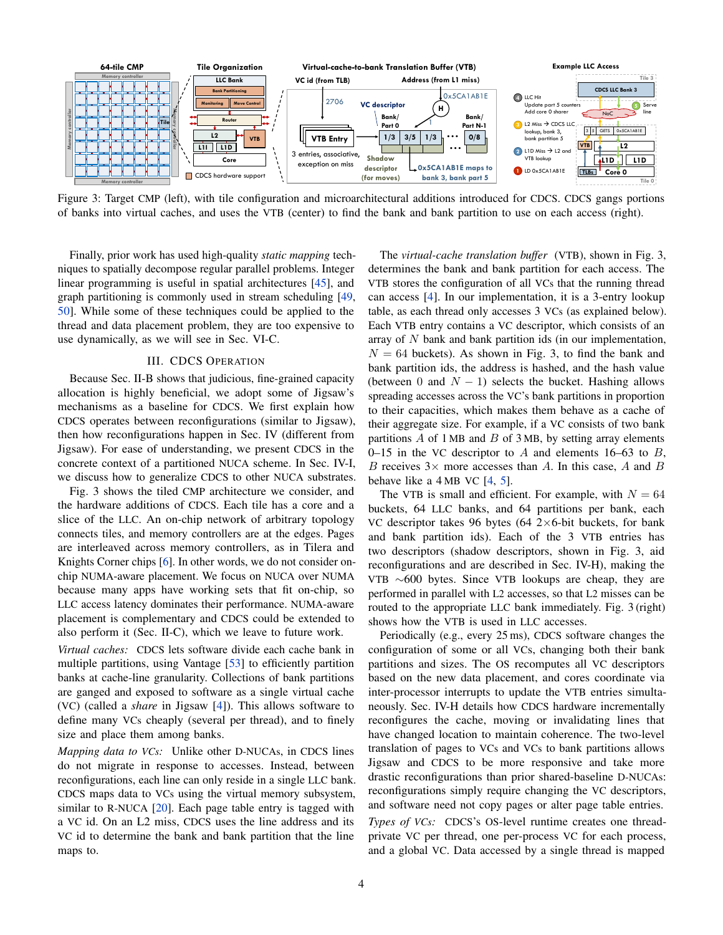<span id="page-3-1"></span>

Figure 3: Target CMP (left), with tile configuration and microarchitectural additions introduced for CDCS. CDCS gangs portions of banks into virtual caches, and uses the VTB (center) to find the bank and bank partition to use on each access (right).

Finally, prior work has used high-quality *static mapping* techniques to spatially decompose regular parallel problems. Integer linear programming is useful in spatial architectures [\[45\]](#page-12-37), and graph partitioning is commonly used in stream scheduling [\[49,](#page-12-38) [50\]](#page-12-39). While some of these techniques could be applied to the thread and data placement problem, they are too expensive to use dynamically, as we will see in [Sec. VI-C.](#page-10-0)

#### III. CDCS OPERATION

<span id="page-3-0"></span>Because [Sec.](#page-1-0) II-B shows that judicious, fine-grained capacity allocation is highly beneficial, we adopt some of Jigsaw's mechanisms as a baseline for CDCS. We first explain how CDCS operates between reconfigurations (similar to Jigsaw), then how reconfigurations happen in [Sec. IV](#page-4-0) (different from Jigsaw). For ease of understanding, we present CDCS in the concrete context of a partitioned NUCA scheme. In [Sec.](#page-8-1) IV-I, we discuss how to generalize CDCS to other NUCA substrates.

[Fig. 3](#page-3-1) shows the tiled CMP architecture we consider, and the hardware additions of CDCS. Each tile has a core and a slice of the LLC. An on-chip network of arbitrary topology connects tiles, and memory controllers are at the edges. Pages are interleaved across memory controllers, as in Tilera and Knights Corner chips [\[6\]](#page-12-40). In other words, we do not consider onchip NUMA-aware placement. We focus on NUCA over NUMA because many apps have working sets that fit on-chip, so LLC access latency dominates their performance. NUMA-aware placement is complementary and CDCS could be extended to also perform it [\(Sec. II-C\)](#page-2-0), which we leave to future work.

*Virtual caches:* CDCS lets software divide each cache bank in multiple partitions, using Vantage [\[53\]](#page-12-27) to efficiently partition banks at cache-line granularity. Collections of bank partitions are ganged and exposed to software as a single virtual cache (VC) (called a *share* in Jigsaw [\[4\]](#page-12-5)). This allows software to define many VCs cheaply (several per thread), and to finely size and place them among banks.

*Mapping data to VCs:* Unlike other D-NUCAs, in CDCS lines do not migrate in response to accesses. Instead, between reconfigurations, each line can only reside in a single LLC bank. CDCS maps data to VCs using the virtual memory subsystem, similar to R-NUCA [\[20\]](#page-12-9). Each page table entry is tagged with a VC id. On an L2 miss, CDCS uses the line address and its VC id to determine the bank and bank partition that the line maps to.

The *virtual-cache translation buffer* (VTB), shown in [Fig. 3,](#page-3-1) determines the bank and bank partition for each access. The VTB stores the configuration of all VCs that the running thread can access [\[4\]](#page-12-5). In our implementation, it is a 3-entry lookup table, as each thread only accesses 3 VCs (as explained below). Each VTB entry contains a VC descriptor, which consists of an array of  $N$  bank and bank partition ids (in our implementation,  $N = 64$  buckets). As shown in [Fig. 3,](#page-3-1) to find the bank and bank partition ids, the address is hashed, and the hash value (between 0 and  $N - 1$ ) selects the bucket. Hashing allows spreading accesses across the VC's bank partitions in proportion to their capacities, which makes them behave as a cache of their aggregate size. For example, if a VC consists of two bank partitions  $\overline{A}$  of 1 MB and  $\overline{B}$  of 3 MB, by setting array elements 0–15 in the VC descriptor to A and elements 16–63 to  $B$ , B receives  $3 \times$  more accesses than A. In this case, A and B behave like a 4 MB VC [\[4,](#page-12-5) [5\]](#page-12-41).

The VTB is small and efficient. For example, with  $N = 64$ buckets, 64 LLC banks, and 64 partitions per bank, each VC descriptor takes 96 bytes  $(64 \, 2 \times 6$ -bit buckets, for bank and bank partition ids). Each of the 3 VTB entries has two descriptors (shadow descriptors, shown in [Fig. 3,](#page-3-1) aid reconfigurations and are described in Sec. [IV-H\)](#page-7-0), making the VTB ∼600 bytes. Since VTB lookups are cheap, they are performed in parallel with L2 accesses, so that L2 misses can be routed to the appropriate LLC bank immediately. [Fig. 3](#page-3-1) (right) shows how the VTB is used in LLC accesses.

Periodically (e.g., every 25 ms), CDCS software changes the configuration of some or all VCs, changing both their bank partitions and sizes. The OS recomputes all VC descriptors based on the new data placement, and cores coordinate via inter-processor interrupts to update the VTB entries simultaneously. Sec. [IV-H](#page-7-0) details how CDCS hardware incrementally reconfigures the cache, moving or invalidating lines that have changed location to maintain coherence. The two-level translation of pages to VCs and VCs to bank partitions allows Jigsaw and CDCS to be more responsive and take more drastic reconfigurations than prior shared-baseline D-NUCAs: reconfigurations simply require changing the VC descriptors, and software need not copy pages or alter page table entries.

*Types of VCs:* CDCS's OS-level runtime creates one threadprivate VC per thread, one per-process VC for each process, and a global VC. Data accessed by a single thread is mapped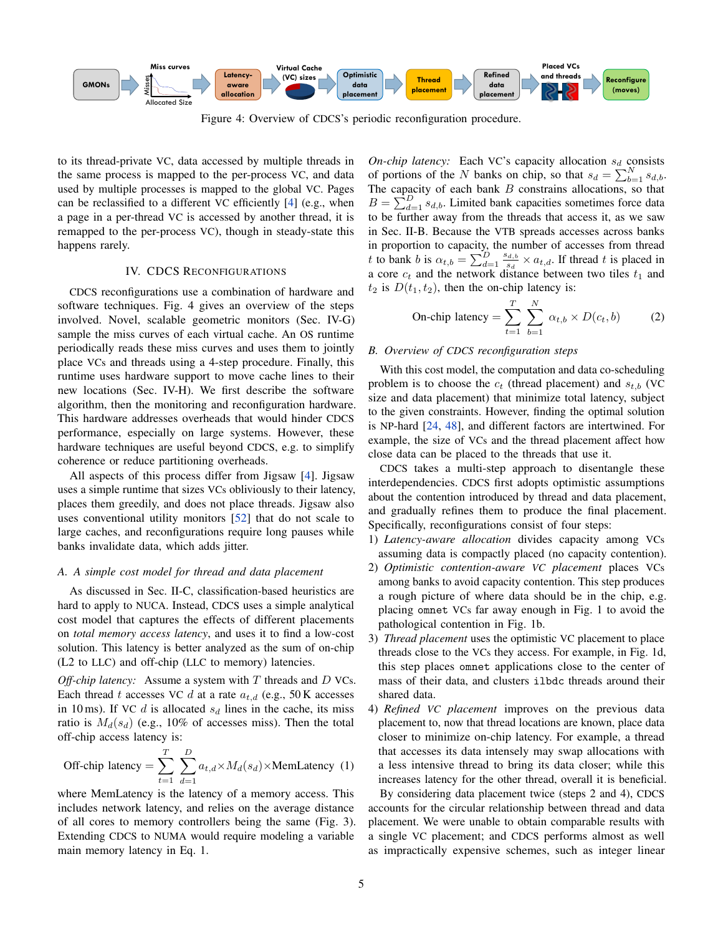<span id="page-4-1"></span>

Figure 4: Overview of CDCS's periodic reconfiguration procedure.

to its thread-private VC, data accessed by multiple threads in the same process is mapped to the per-process VC, and data used by multiple processes is mapped to the global VC. Pages can be reclassified to a different VC efficiently [\[4\]](#page-12-5) (e.g., when a page in a per-thread VC is accessed by another thread, it is remapped to the per-process VC), though in steady-state this happens rarely.

# IV. CDCS RECONFIGURATIONS

<span id="page-4-0"></span>CDCS reconfigurations use a combination of hardware and software techniques. [Fig. 4](#page-4-1) gives an overview of the steps involved. Novel, scalable geometric monitors (Sec. [IV-G\)](#page-6-0) sample the miss curves of each virtual cache. An OS runtime periodically reads these miss curves and uses them to jointly place VCs and threads using a 4-step procedure. Finally, this runtime uses hardware support to move cache lines to their new locations (Sec. [IV-H\)](#page-7-0). We first describe the software algorithm, then the monitoring and reconfiguration hardware. This hardware addresses overheads that would hinder CDCS performance, especially on large systems. However, these hardware techniques are useful beyond CDCS, e.g. to simplify coherence or reduce partitioning overheads.

All aspects of this process differ from Jigsaw [\[4\]](#page-12-5). Jigsaw uses a simple runtime that sizes VCs obliviously to their latency, places them greedily, and does not place threads. Jigsaw also uses conventional utility monitors [\[52\]](#page-12-30) that do not scale to large caches, and reconfigurations require long pauses while banks invalidate data, which adds jitter.

#### <span id="page-4-4"></span>*A. A simple cost model for thread and data placement*

As discussed in Sec. [II-C,](#page-2-0) classification-based heuristics are hard to apply to NUCA. Instead, CDCS uses a simple analytical cost model that captures the effects of different placements on *total memory access latency*, and uses it to find a low-cost solution. This latency is better analyzed as the sum of on-chip (L2 to LLC) and off-chip (LLC to memory) latencies.

*Off-chip latency:* Assume a system with T threads and D VCs. Each thread t accesses VC d at a rate  $a_{t,d}$  (e.g., 50 K accesses in 10 ms). If VC  $d$  is allocated  $s_d$  lines in the cache, its miss ratio is  $M_d(s_d)$  (e.g., 10% of accesses miss). Then the total off-chip access latency is:

<span id="page-4-2"></span>Off-chip latency = 
$$
\sum_{t=1}^{T} \sum_{d=1}^{D} a_{t,d} \times M_d(s_d) \times \text{MemLatency}
$$
 (1)

where MemLatency is the latency of a memory access. This includes network latency, and relies on the average distance of all cores to memory controllers being the same [\(Fig. 3\)](#page-3-1). Extending CDCS to NUMA would require modeling a variable main memory latency in [Eq. 1.](#page-4-2)

*On-chip latency:* Each VC's capacity allocation  $s_d$  consists of portions of the N banks on chip, so that  $s_d = \sum_{b=1}^{N} s_{d,b}$ . The capacity of each bank  $B$  constrains allocations, so that  $B = \sum_{d=1}^{D} s_{d,b}$ . Limited bank capacities sometimes force data to be further away from the threads that access it, as we saw in [Sec.](#page-1-0) II-B. Because the VTB spreads accesses across banks in proportion to capacity, the number of accesses from thread t to bank b is  $\alpha_{t,b} = \sum_{d=1}^{D} \frac{s_{d,b}}{s_d}$  $\frac{d^{i}d, b}{s_d} \times a_{t, d}$ . If thread t is placed in a core  $c_t$  and the network distance between two tiles  $t_1$  and  $t_2$  is  $D(t_1, t_2)$ , then the on-chip latency is:

<span id="page-4-3"></span>On-chip latency = 
$$
\sum_{t=1}^{T} \sum_{b=1}^{N} \alpha_{t,b} \times D(c_t, b)
$$
 (2)

# *B. Overview of CDCS reconfiguration steps*

With this cost model, the computation and data co-scheduling problem is to choose the  $c_t$  (thread placement) and  $s_{t,b}$  (VC size and data placement) that minimize total latency, subject to the given constraints. However, finding the optimal solution is NP-hard [\[24,](#page-12-42) [48\]](#page-12-43), and different factors are intertwined. For example, the size of VCs and the thread placement affect how close data can be placed to the threads that use it.

CDCS takes a multi-step approach to disentangle these interdependencies. CDCS first adopts optimistic assumptions about the contention introduced by thread and data placement, and gradually refines them to produce the final placement. Specifically, reconfigurations consist of four steps:

- 1) *Latency-aware allocation* divides capacity among VCs assuming data is compactly placed (no capacity contention).
- 2) *Optimistic contention-aware VC placement* places VCs among banks to avoid capacity contention. This step produces a rough picture of where data should be in the chip, e.g. placing omnet VCs far away enough in [Fig. 1](#page-1-1) to avoid the pathological contention in [Fig. 1b.](#page-1-1)
- 3) *Thread placement* uses the optimistic VC placement to place threads close to the VCs they access. For example, in [Fig. 1d,](#page-1-1) this step places omnet applications close to the center of mass of their data, and clusters ilbdc threads around their shared data.
- 4) *Refined VC placement* improves on the previous data placement to, now that thread locations are known, place data closer to minimize on-chip latency. For example, a thread that accesses its data intensely may swap allocations with a less intensive thread to bring its data closer; while this increases latency for the other thread, overall it is beneficial. By considering data placement twice (steps 2 and 4), CDCS accounts for the circular relationship between thread and data placement. We were unable to obtain comparable results with a single VC placement; and CDCS performs almost as well as impractically expensive schemes, such as integer linear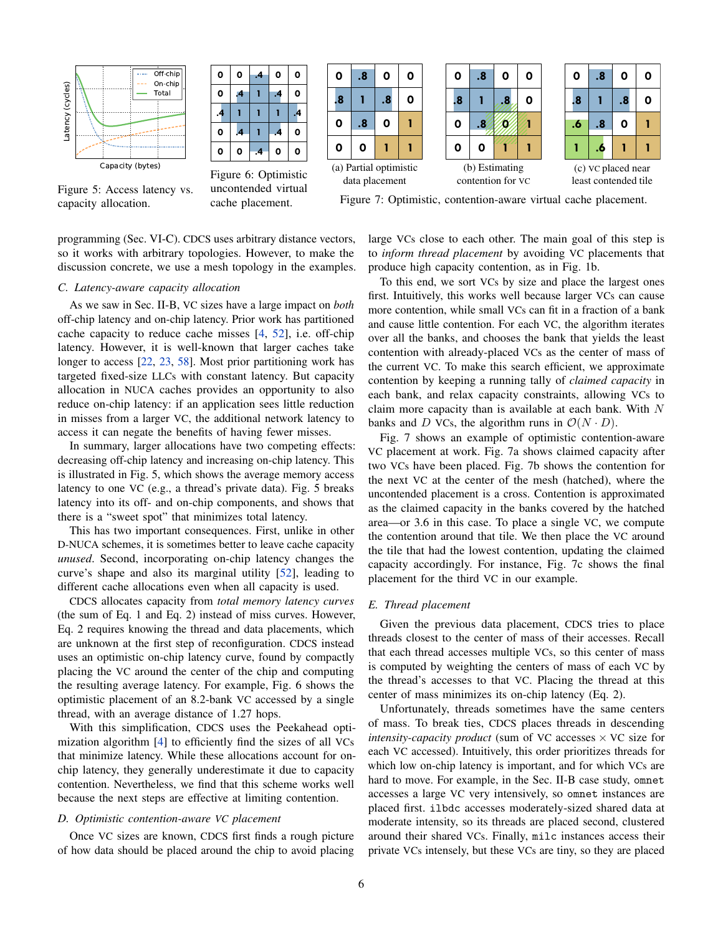<span id="page-5-0"></span>

| 0 | O | $\overline{A}$ | O  | 0 |
|---|---|----------------|----|---|
| 0 | 4 |                | .4 | 0 |
| 4 |   |                |    | 4 |
| 0 | 4 |                | 4  | 0 |
| 0 | 0 |                | 0  | 0 |
|   |   |                |    |   |

Figure 5: Access latency vs. capacity allocation.

**0 0 .4 0 0** Figure 6: Optimistic uncontended virtual cache placement.





| ٥                                          | .8                      | Ο  | Ο |
|--------------------------------------------|-------------------------|----|---|
| 8.                                         |                         | .8 | 0 |
| .6                                         | .8                      | 0  |   |
|                                            | $\overline{\mathbf{6}}$ |    |   |
| (c) VC placed near<br>least contended tile |                         |    |   |

Figure 7: Optimistic, contention-aware virtual cache placement.

programming (Sec. [VI-C\)](#page-10-0). CDCS uses arbitrary distance vectors, so it works with arbitrary topologies. However, to make the discussion concrete, we use a mesh topology in the examples.

#### *C. Latency-aware capacity allocation*

As we saw in [Sec.](#page-1-0) II-B, VC sizes have a large impact on *both* off-chip latency and on-chip latency. Prior work has partitioned cache capacity to reduce cache misses [\[4,](#page-12-5) [52\]](#page-12-30), i.e. off-chip latency. However, it is well-known that larger caches take longer to access [\[22,](#page-12-44) [23,](#page-12-45) [58\]](#page-12-46). Most prior partitioning work has targeted fixed-size LLCs with constant latency. But capacity allocation in NUCA caches provides an opportunity to also reduce on-chip latency: if an application sees little reduction in misses from a larger VC, the additional network latency to access it can negate the benefits of having fewer misses.

In summary, larger allocations have two competing effects: decreasing off-chip latency and increasing on-chip latency. This is illustrated in [Fig. 5,](#page-5-0) which shows the average memory access latency to one VC (e.g., a thread's private data). [Fig. 5](#page-5-0) breaks latency into its off- and on-chip components, and shows that there is a "sweet spot" that minimizes total latency.

This has two important consequences. First, unlike in other D-NUCA schemes, it is sometimes better to leave cache capacity *unused*. Second, incorporating on-chip latency changes the curve's shape and also its marginal utility [\[52\]](#page-12-30), leading to different cache allocations even when all capacity is used.

CDCS allocates capacity from *total memory latency curves* (the sum of [Eq. 1](#page-4-2) and [Eq. 2\)](#page-4-3) instead of miss curves. However, [Eq. 2](#page-4-3) requires knowing the thread and data placements, which are unknown at the first step of reconfiguration. CDCS instead uses an optimistic on-chip latency curve, found by compactly placing the VC around the center of the chip and computing the resulting average latency. For example, [Fig. 6](#page-5-0) shows the optimistic placement of an 8.2-bank VC accessed by a single thread, with an average distance of 1.27 hops.

With this simplification, CDCS uses the Peekahead optimization algorithm [\[4\]](#page-12-5) to efficiently find the sizes of all VCs that minimize latency. While these allocations account for onchip latency, they generally underestimate it due to capacity contention. Nevertheless, we find that this scheme works well because the next steps are effective at limiting contention.

## <span id="page-5-1"></span>*D. Optimistic contention-aware VC placement*

Once VC sizes are known, CDCS first finds a rough picture of how data should be placed around the chip to avoid placing

large VCs close to each other. The main goal of this step is to *inform thread placement* by avoiding VC placements that produce high capacity contention, as in [Fig. 1b.](#page-1-1)

To this end, we sort VCs by size and place the largest ones first. Intuitively, this works well because larger VCs can cause more contention, while small VCs can fit in a fraction of a bank and cause little contention. For each VC, the algorithm iterates over all the banks, and chooses the bank that yields the least contention with already-placed VCs as the center of mass of the current VC. To make this search efficient, we approximate contention by keeping a running tally of *claimed capacity* in each bank, and relax capacity constraints, allowing VCs to claim more capacity than is available at each bank. With  $N$ banks and D VCs, the algorithm runs in  $\mathcal{O}(N \cdot D)$ .

[Fig. 7](#page-5-0) shows an example of optimistic contention-aware VC placement at work. [Fig. 7a](#page-5-0) shows claimed capacity after two VCs have been placed. [Fig. 7b](#page-5-0) shows the contention for the next VC at the center of the mesh (hatched), where the uncontended placement is a cross. Contention is approximated as the claimed capacity in the banks covered by the hatched area—or 3.6 in this case. To place a single VC, we compute the contention around that tile. We then place the VC around the tile that had the lowest contention, updating the claimed capacity accordingly. For instance, [Fig. 7c](#page-5-0) shows the final placement for the third VC in our example.

# *E. Thread placement*

Given the previous data placement, CDCS tries to place threads closest to the center of mass of their accesses. Recall that each thread accesses multiple VCs, so this center of mass is computed by weighting the centers of mass of each VC by the thread's accesses to that VC. Placing the thread at this center of mass minimizes its on-chip latency [\(Eq. 2\)](#page-4-3).

Unfortunately, threads sometimes have the same centers of mass. To break ties, CDCS places threads in descending *intensity-capacity product* (sum of VC accesses  $\times$  VC size for each VC accessed). Intuitively, this order prioritizes threads for which low on-chip latency is important, and for which VCs are hard to move. For example, in the [Sec.](#page-1-0) II-B case study, omnet accesses a large VC very intensively, so omnet instances are placed first. ilbdc accesses moderately-sized shared data at moderate intensity, so its threads are placed second, clustered around their shared VCs. Finally, milc instances access their private VCs intensely, but these VCs are tiny, so they are placed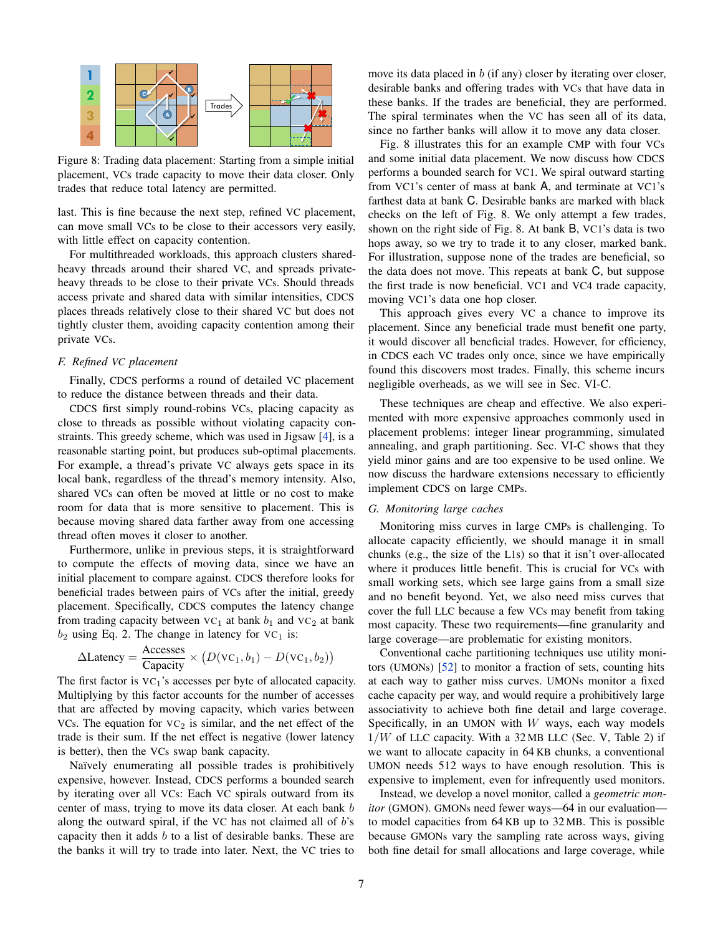<span id="page-6-1"></span>

Figure 8: Trading data placement: Starting from a simple initial placement, VCs trade capacity to move their data closer. Only trades that reduce total latency are permitted.

last. This is fine because the next step, refined VC placement, can move small VCs to be close to their accessors very easily, with little effect on capacity contention.

For multithreaded workloads, this approach clusters sharedheavy threads around their shared VC, and spreads privateheavy threads to be close to their private VCs. Should threads access private and shared data with similar intensities, CDCS places threads relatively close to their shared VC but does not tightly cluster them, avoiding capacity contention among their private VCs.

# *F. Refined VC placement*

Finally, CDCS performs a round of detailed VC placement to reduce the distance between threads and their data.

CDCS first simply round-robins VCs, placing capacity as close to threads as possible without violating capacity constraints. This greedy scheme, which was used in Jigsaw [\[4\]](#page-12-5), is a reasonable starting point, but produces sub-optimal placements. For example, a thread's private VC always gets space in its local bank, regardless of the thread's memory intensity. Also, shared VCs can often be moved at little or no cost to make room for data that is more sensitive to placement. This is because moving shared data farther away from one accessing thread often moves it closer to another.

Furthermore, unlike in previous steps, it is straightforward to compute the effects of moving data, since we have an initial placement to compare against. CDCS therefore looks for beneficial trades between pairs of VCs after the initial, greedy placement. Specifically, CDCS computes the latency change from trading capacity between  $VC_1$  at bank  $b_1$  and  $VC_2$  at bank  $b_2$  using [Eq. 2.](#page-4-3) The change in latency for VC<sub>1</sub> is:

$$
\Delta\text{Latency} = \frac{\text{Accesses}}{\text{Capacity}} \times (D(\text{VC}_1, b_1) - D(\text{VC}_1, b_2))
$$

The first factor is  $VC_1$ 's accesses per byte of allocated capacity. Multiplying by this factor accounts for the number of accesses that are affected by moving capacity, which varies between VCs. The equation for  $VC<sub>2</sub>$  is similar, and the net effect of the trade is their sum. If the net effect is negative (lower latency is better), then the VCs swap bank capacity.

Naïvely enumerating all possible trades is prohibitively expensive, however. Instead, CDCS performs a bounded search by iterating over all VCs: Each VC spirals outward from its center of mass, trying to move its data closer. At each bank b along the outward spiral, if the VC has not claimed all of  $b$ 's capacity then it adds  $b$  to a list of desirable banks. These are the banks it will try to trade into later. Next, the VC tries to

move its data placed in  $b$  (if any) closer by iterating over closer, desirable banks and offering trades with VCs that have data in these banks. If the trades are beneficial, they are performed. The spiral terminates when the VC has seen all of its data, since no farther banks will allow it to move any data closer.

[Fig. 8](#page-6-1) illustrates this for an example CMP with four VCs and some initial data placement. We now discuss how CDCS performs a bounded search for VC1. We spiral outward starting from VC1's center of mass at bank A, and terminate at VC1's farthest data at bank C. Desirable banks are marked with black checks on the left of [Fig. 8.](#page-6-1) We only attempt a few trades, shown on the right side of [Fig. 8.](#page-6-1) At bank B, VC1's data is two hops away, so we try to trade it to any closer, marked bank. For illustration, suppose none of the trades are beneficial, so the data does not move. This repeats at bank C, but suppose the first trade is now beneficial. VC1 and VC4 trade capacity, moving VC1's data one hop closer.

This approach gives every VC a chance to improve its placement. Since any beneficial trade must benefit one party, it would discover all beneficial trades. However, for efficiency, in CDCS each VC trades only once, since we have empirically found this discovers most trades. Finally, this scheme incurs negligible overheads, as we will see in [Sec. VI-C.](#page-10-0)

These techniques are cheap and effective. We also experimented with more expensive approaches commonly used in placement problems: integer linear programming, simulated annealing, and graph partitioning. Sec. [VI-C](#page-10-0) shows that they yield minor gains and are too expensive to be used online. We now discuss the hardware extensions necessary to efficiently implement CDCS on large CMPs.

# <span id="page-6-0"></span>*G. Monitoring large caches*

Monitoring miss curves in large CMPs is challenging. To allocate capacity efficiently, we should manage it in small chunks (e.g., the size of the L1s) so that it isn't over-allocated where it produces little benefit. This is crucial for VCs with small working sets, which see large gains from a small size and no benefit beyond. Yet, we also need miss curves that cover the full LLC because a few VCs may benefit from taking most capacity. These two requirements—fine granularity and large coverage—are problematic for existing monitors.

Conventional cache partitioning techniques use utility monitors (UMONs) [\[52\]](#page-12-30) to monitor a fraction of sets, counting hits at each way to gather miss curves. UMONs monitor a fixed cache capacity per way, and would require a prohibitively large associativity to achieve both fine detail and large coverage. Specifically, in an UMON with  $W$  ways, each way models  $1/W$  of LLC capacity. With a 32 MB LLC [\(Sec. V,](#page-8-0) [Table 2\)](#page-8-2) if we want to allocate capacity in 64 KB chunks, a conventional UMON needs 512 ways to have enough resolution. This is expensive to implement, even for infrequently used monitors.

Instead, we develop a novel monitor, called a *geometric monitor* (GMON). GMONs need fewer ways—64 in our evaluation to model capacities from 64 KB up to 32 MB. This is possible because GMONs vary the sampling rate across ways, giving both fine detail for small allocations and large coverage, while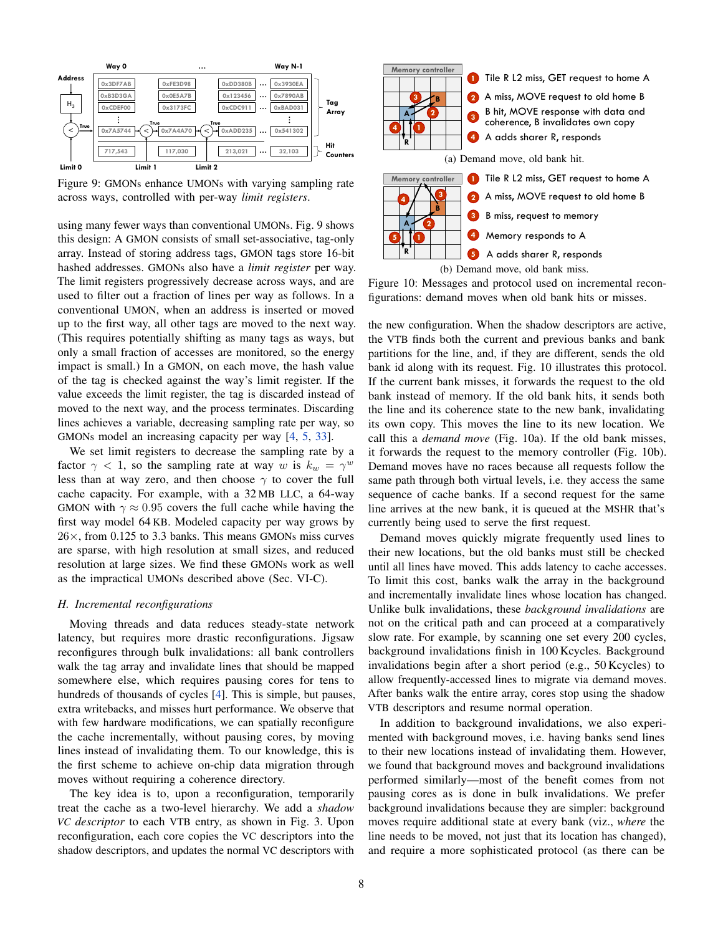<span id="page-7-1"></span>

Figure 9: GMONs enhance UMONs with varying sampling rate across ways, controlled with per-way *limit registers*.

using many fewer ways than conventional UMONs. [Fig. 9](#page-7-1) shows this design: A GMON consists of small set-associative, tag-only array. Instead of storing address tags, GMON tags store 16-bit hashed addresses. GMONs also have a *limit register* per way. The limit registers progressively decrease across ways, and are used to filter out a fraction of lines per way as follows. In a conventional UMON, when an address is inserted or moved up to the first way, all other tags are moved to the next way. (This requires potentially shifting as many tags as ways, but only a small fraction of accesses are monitored, so the energy impact is small.) In a GMON, on each move, the hash value of the tag is checked against the way's limit register. If the value exceeds the limit register, the tag is discarded instead of moved to the next way, and the process terminates. Discarding lines achieves a variable, decreasing sampling rate per way, so GMONs model an increasing capacity per way [\[4,](#page-12-5) [5,](#page-12-41) [33\]](#page-12-47).

We set limit registers to decrease the sampling rate by a factor  $\gamma$  < 1, so the sampling rate at way w is  $k_w = \gamma^w$ less than at way zero, and then choose  $\gamma$  to cover the full cache capacity. For example, with a 32 MB LLC, a 64-way GMON with  $\gamma \approx 0.95$  covers the full cache while having the first way model 64 KB. Modeled capacity per way grows by  $26\times$ , from 0.125 to 3.3 banks. This means GMONs miss curves are sparse, with high resolution at small sizes, and reduced resolution at large sizes. We find these GMONs work as well as the impractical UMONs described above [\(Sec. VI-C\)](#page-10-0).

## <span id="page-7-0"></span>*H. Incremental reconfigurations*

Moving threads and data reduces steady-state network latency, but requires more drastic reconfigurations. Jigsaw reconfigures through bulk invalidations: all bank controllers walk the tag array and invalidate lines that should be mapped somewhere else, which requires pausing cores for tens to hundreds of thousands of cycles [\[4\]](#page-12-5). This is simple, but pauses, extra writebacks, and misses hurt performance. We observe that with few hardware modifications, we can spatially reconfigure the cache incrementally, without pausing cores, by moving lines instead of invalidating them. To our knowledge, this is the first scheme to achieve on-chip data migration through moves without requiring a coherence directory.

The key idea is to, upon a reconfiguration, temporarily treat the cache as a two-level hierarchy. We add a *shadow VC descriptor* to each VTB entry, as shown in [Fig. 3.](#page-3-1) Upon reconfiguration, each core copies the VC descriptors into the shadow descriptors, and updates the normal VC descriptors with

<span id="page-7-2"></span>

Figure 10: Messages and protocol used on incremental reconfigurations: demand moves when old bank hits or misses.

the new configuration. When the shadow descriptors are active, the VTB finds both the current and previous banks and bank partitions for the line, and, if they are different, sends the old bank id along with its request. [Fig. 10](#page-7-2) illustrates this protocol. If the current bank misses, it forwards the request to the old bank instead of memory. If the old bank hits, it sends both the line and its coherence state to the new bank, invalidating its own copy. This moves the line to its new location. We call this a *demand move* [\(Fig. 10a\)](#page-7-2). If the old bank misses, it forwards the request to the memory controller [\(Fig. 10b\)](#page-7-2). Demand moves have no races because all requests follow the same path through both virtual levels, i.e. they access the same sequence of cache banks. If a second request for the same line arrives at the new bank, it is queued at the MSHR that's currently being used to serve the first request.

Demand moves quickly migrate frequently used lines to their new locations, but the old banks must still be checked until all lines have moved. This adds latency to cache accesses. To limit this cost, banks walk the array in the background and incrementally invalidate lines whose location has changed. Unlike bulk invalidations, these *background invalidations* are not on the critical path and can proceed at a comparatively slow rate. For example, by scanning one set every 200 cycles, background invalidations finish in 100 Kcycles. Background invalidations begin after a short period (e.g., 50 Kcycles) to allow frequently-accessed lines to migrate via demand moves. After banks walk the entire array, cores stop using the shadow VTB descriptors and resume normal operation.

In addition to background invalidations, we also experimented with background moves, i.e. having banks send lines to their new locations instead of invalidating them. However, we found that background moves and background invalidations performed similarly—most of the benefit comes from not pausing cores as is done in bulk invalidations. We prefer background invalidations because they are simpler: background moves require additional state at every bank (viz., *where* the line needs to be moved, not just that its location has changed), and require a more sophisticated protocol (as there can be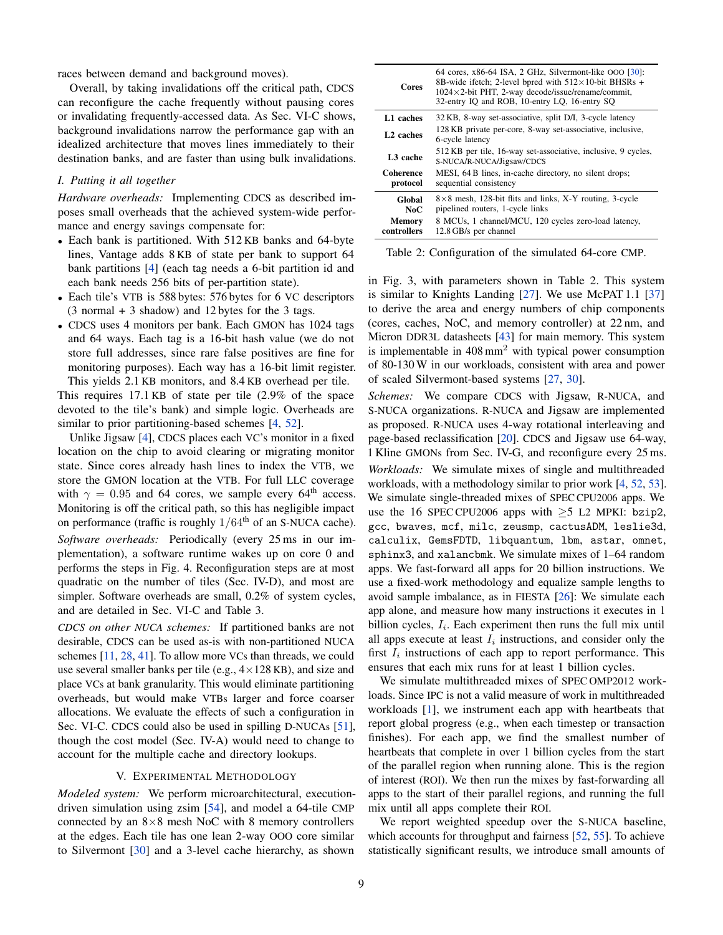races between demand and background moves).

Overall, by taking invalidations off the critical path, CDCS can reconfigure the cache frequently without pausing cores or invalidating frequently-accessed data. As Sec. [VI-C](#page-10-0) shows, background invalidations narrow the performance gap with an idealized architecture that moves lines immediately to their destination banks, and are faster than using bulk invalidations.

# <span id="page-8-1"></span>*I. Putting it all together*

*Hardware overheads:* Implementing CDCS as described imposes small overheads that the achieved system-wide performance and energy savings compensate for:

- Each bank is partitioned. With 512 KB banks and 64-byte lines, Vantage adds 8 KB of state per bank to support 64 bank partitions [\[4\]](#page-12-5) (each tag needs a 6-bit partition id and each bank needs 256 bits of per-partition state).
- Each tile's VTB is 588 bytes: 576 bytes for 6 VC descriptors (3 normal + 3 shadow) and 12 bytes for the 3 tags.
- CDCS uses 4 monitors per bank. Each GMON has 1024 tags and 64 ways. Each tag is a 16-bit hash value (we do not store full addresses, since rare false positives are fine for monitoring purposes). Each way has a 16-bit limit register. This yields 2.1 KB monitors, and 8.4 KB overhead per tile.

This requires 17.1 KB of state per tile (2.9% of the space devoted to the tile's bank) and simple logic. Overheads are similar to prior partitioning-based schemes [\[4,](#page-12-5) [52\]](#page-12-30).

Unlike Jigsaw [\[4\]](#page-12-5), CDCS places each VC's monitor in a fixed location on the chip to avoid clearing or migrating monitor state. Since cores already hash lines to index the VTB, we store the GMON location at the VTB. For full LLC coverage with  $\gamma = 0.95$  and 64 cores, we sample every 64<sup>th</sup> access. Monitoring is off the critical path, so this has negligible impact on performance (traffic is roughly  $1/64<sup>th</sup>$  of an S-NUCA cache). *Software overheads:* Periodically (every 25 ms in our implementation), a software runtime wakes up on core 0 and performs the steps in [Fig. 4.](#page-4-1) Reconfiguration steps are at most quadratic on the number of tiles (Sec. [IV-D\)](#page-5-1), and most are simpler. Software overheads are small, 0.2% of system cycles, and are detailed in [Sec. VI-C](#page-10-0) and [Table 3.](#page-11-0)

*CDCS on other NUCA schemes:* If partitioned banks are not desirable, CDCS can be used as-is with non-partitioned NUCA schemes [\[11,](#page-12-8) [28,](#page-12-10) [41\]](#page-12-20). To allow more VCs than threads, we could use several smaller banks per tile (e.g.,  $4 \times 128$  KB), and size and place VCs at bank granularity. This would eliminate partitioning overheads, but would make VTBs larger and force coarser allocations. We evaluate the effects of such a configuration in Sec. [VI-C.](#page-11-1) CDCS could also be used in spilling D-NUCAs [\[51\]](#page-12-12), though the cost model (Sec. [IV-A\)](#page-4-4) would need to change to account for the multiple cache and directory lookups.

#### V. EXPERIMENTAL METHODOLOGY

<span id="page-8-0"></span>*Modeled system:* We perform microarchitectural, executiondriven simulation using zsim [\[54\]](#page-12-48), and model a 64-tile CMP connected by an  $8\times 8$  mesh NoC with 8 memory controllers at the edges. Each tile has one lean 2-way OOO core similar to Silvermont [\[30\]](#page-12-49) and a 3-level cache hierarchy, as shown

<span id="page-8-2"></span>

| Cores                        | 64 cores, $x86-64$ ISA, 2 GHz, Silvermont-like OOO [30]:<br>8B-wide if etch; 2-level bpred with $512 \times 10$ -bit BHSRs +<br>$1024 \times 2$ -bit PHT, 2-way decode/issue/rename/commit,<br>32-entry IO and ROB, 10-entry LO, 16-entry SO |
|------------------------------|----------------------------------------------------------------------------------------------------------------------------------------------------------------------------------------------------------------------------------------------|
| L1 caches                    | 32 KB, 8-way set-associative, split D/I, 3-cycle latency                                                                                                                                                                                     |
| L <sub>2</sub> caches        | 128 KB private per-core, 8-way set-associative, inclusive,<br>6-cycle latency                                                                                                                                                                |
| L <sub>3</sub> cache         | 512 KB per tile, 16-way set-associative, inclusive, 9 cycles,<br>S-NUCA/R-NUCA/Jigsaw/CDCS                                                                                                                                                   |
| <b>Coherence</b><br>protocol | MESI, 64 B lines, in-cache directory, no silent drops;<br>sequential consistency                                                                                                                                                             |
| Global<br>NoC                | $8\times 8$ mesh, 128-bit flits and links, X-Y routing, 3-cycle<br>pipelined routers, 1-cycle links                                                                                                                                          |
| <b>Memory</b><br>controllers | 8 MCUs, 1 channel/MCU, 120 cycles zero-load latency,<br>12.8 GB/s per channel                                                                                                                                                                |

Table 2: Configuration of the simulated 64-core CMP.

in [Fig. 3,](#page-3-1) with parameters shown in [Table 2.](#page-8-2) This system is similar to Knights Landing [\[27\]](#page-12-50). We use McPAT 1.1 [\[37\]](#page-12-51) to derive the area and energy numbers of chip components (cores, caches, NoC, and memory controller) at 22 nm, and Micron DDR3L datasheets [\[43\]](#page-12-52) for main memory. This system is implementable in  $408 \text{ mm}^2$  with typical power consumption of 80-130 W in our workloads, consistent with area and power of scaled Silvermont-based systems [\[27,](#page-12-50) [30\]](#page-12-49).

*Schemes:* We compare CDCS with Jigsaw, R-NUCA, and S-NUCA organizations. R-NUCA and Jigsaw are implemented as proposed. R-NUCA uses 4-way rotational interleaving and page-based reclassification [\[20\]](#page-12-9). CDCS and Jigsaw use 64-way, 1 Kline GMONs from [Sec. IV-G,](#page-6-0) and reconfigure every 25 ms. *Workloads:* We simulate mixes of single and multithreaded workloads, with a methodology similar to prior work [\[4,](#page-12-5) [52,](#page-12-30) [53\]](#page-12-27). We simulate single-threaded mixes of SPEC CPU2006 apps. We use the 16 SPEC CPU2006 apps with  $\geq$ 5 L2 MPKI: bzip2, gcc, bwaves, mcf, milc, zeusmp, cactusADM, leslie3d, calculix, GemsFDTD, libquantum, lbm, astar, omnet, sphinx3, and xalancbmk. We simulate mixes of 1–64 random apps. We fast-forward all apps for 20 billion instructions. We use a fixed-work methodology and equalize sample lengths to avoid sample imbalance, as in FIESTA [\[26\]](#page-12-53): We simulate each app alone, and measure how many instructions it executes in 1 billion cycles,  $I_i$ . Each experiment then runs the full mix until all apps execute at least  $I_i$  instructions, and consider only the first  $I_i$  instructions of each app to report performance. This ensures that each mix runs for at least 1 billion cycles.

We simulate multithreaded mixes of SPEC OMP2012 workloads. Since IPC is not a valid measure of work in multithreaded workloads [\[1\]](#page-12-54), we instrument each app with heartbeats that report global progress (e.g., when each timestep or transaction finishes). For each app, we find the smallest number of heartbeats that complete in over 1 billion cycles from the start of the parallel region when running alone. This is the region of interest (ROI). We then run the mixes by fast-forwarding all apps to the start of their parallel regions, and running the full mix until all apps complete their ROI.

We report weighted speedup over the S-NUCA baseline, which accounts for throughput and fairness [\[52,](#page-12-30) [55\]](#page-12-55). To achieve statistically significant results, we introduce small amounts of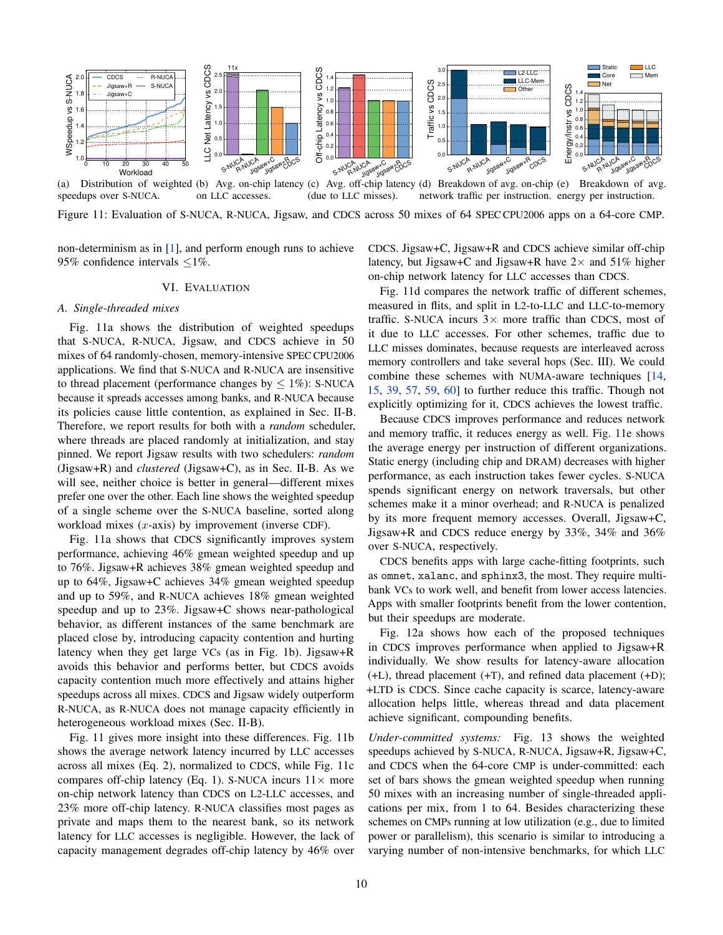<span id="page-9-1"></span>

(a) Distribution of weighted (b) Avg. on-chip latency (c) Avg. off-chip latency (d) Breakdown of avg. on-chip (e) Breakdown of avg. speedups over S-NUCA. on LLC accesses. (due to LLC misses). network traffic per instruction. energy per instruction.

Figure 11: Evaluation of S-NUCA, R-NUCA, Jigsaw, and CDCS across 50 mixes of 64 SPEC CPU2006 apps on a 64-core CMP.

non-determinism as in [\[1\]](#page-12-54), and perform enough runs to achieve 95% confidence intervals  $\leq$ 1%.

## VI. EVALUATION

#### <span id="page-9-2"></span><span id="page-9-0"></span>*A. Single-threaded mixes*

[Fig. 11a](#page-9-1) shows the distribution of weighted speedups that S-NUCA, R-NUCA, Jigsaw, and CDCS achieve in 50 mixes of 64 randomly-chosen, memory-intensive SPEC CPU2006 applications. We find that S-NUCA and R-NUCA are insensitive to thread placement (performance changes by  $\leq 1\%$ ): S-NUCA because it spreads accesses among banks, and R-NUCA because its policies cause little contention, as explained in [Sec.](#page-1-0) II-B. Therefore, we report results for both with a *random* scheduler, where threads are placed randomly at initialization, and stay pinned. We report Jigsaw results with two schedulers: *random* (Jigsaw+R) and *clustered* (Jigsaw+C), as in Sec. [II-B.](#page-1-0) As we will see, neither choice is better in general—different mixes prefer one over the other. Each line shows the weighted speedup of a single scheme over the S-NUCA baseline, sorted along workload mixes  $(x$ -axis) by improvement (inverse CDF).

[Fig. 11a](#page-9-1) shows that CDCS significantly improves system performance, achieving 46% gmean weighted speedup and up to 76%. Jigsaw+R achieves 38% gmean weighted speedup and up to 64%, Jigsaw+C achieves 34% gmean weighted speedup and up to 59%, and R-NUCA achieves 18% gmean weighted speedup and up to 23%. Jigsaw+C shows near-pathological behavior, as different instances of the same benchmark are placed close by, introducing capacity contention and hurting latency when they get large VCs (as in [Fig. 1b\)](#page-1-1). Jigsaw+R avoids this behavior and performs better, but CDCS avoids capacity contention much more effectively and attains higher speedups across all mixes. CDCS and Jigsaw widely outperform R-NUCA, as R-NUCA does not manage capacity efficiently in heterogeneous workload mixes [\(Sec. II-B\)](#page-1-0).

[Fig. 11](#page-9-1) gives more insight into these differences. [Fig. 11b](#page-9-1) shows the average network latency incurred by LLC accesses across all mixes [\(Eq. 2\)](#page-4-3), normalized to CDCS, while [Fig. 11c](#page-9-1) compares off-chip latency [\(Eq. 1\)](#page-4-2). S-NUCA incurs  $11 \times$  more on-chip network latency than CDCS on L2-LLC accesses, and 23% more off-chip latency. R-NUCA classifies most pages as private and maps them to the nearest bank, so its network latency for LLC accesses is negligible. However, the lack of capacity management degrades off-chip latency by 46% over CDCS. Jigsaw+C, Jigsaw+R and CDCS achieve similar off-chip latency, but Jigsaw+C and Jigsaw+R have  $2 \times$  and 51% higher on-chip network latency for LLC accesses than CDCS.

[Fig. 11d](#page-9-1) compares the network traffic of different schemes, measured in flits, and split in L2-to-LLC and LLC-to-memory traffic. S-NUCA incurs  $3 \times$  more traffic than CDCS, most of it due to LLC accesses. For other schemes, traffic due to LLC misses dominates, because requests are interleaved across memory controllers and take several hops [\(Sec. III\)](#page-3-0). We could combine these schemes with NUMA-aware techniques [\[14,](#page-12-15) [15,](#page-12-56) [39,](#page-12-57) [57,](#page-12-17) [59,](#page-12-18) [60\]](#page-12-58) to further reduce this traffic. Though not explicitly optimizing for it, CDCS achieves the lowest traffic.

Because CDCS improves performance and reduces network and memory traffic, it reduces energy as well. [Fig. 11e](#page-9-1) shows the average energy per instruction of different organizations. Static energy (including chip and DRAM) decreases with higher performance, as each instruction takes fewer cycles. S-NUCA spends significant energy on network traversals, but other schemes make it a minor overhead; and R-NUCA is penalized by its more frequent memory accesses. Overall, Jigsaw+C, Jigsaw+R and CDCS reduce energy by 33%, 34% and 36% over S-NUCA, respectively.

CDCS benefits apps with large cache-fitting footprints, such as omnet, xalanc, and sphinx3, the most. They require multibank VCs to work well, and benefit from lower access latencies. Apps with smaller footprints benefit from the lower contention, but their speedups are moderate.

[Fig. 12a](#page-10-1) shows how each of the proposed techniques in CDCS improves performance when applied to Jigsaw+R individually. We show results for latency-aware allocation (+L), thread placement (+T), and refined data placement (+D); +LTD is CDCS. Since cache capacity is scarce, latency-aware allocation helps little, whereas thread and data placement achieve significant, compounding benefits.

*Under-committed systems:* [Fig. 13](#page-10-2) shows the weighted speedups achieved by S-NUCA, R-NUCA, Jigsaw+R, Jigsaw+C, and CDCS when the 64-core CMP is under-committed: each set of bars shows the gmean weighted speedup when running 50 mixes with an increasing number of single-threaded applications per mix, from 1 to 64. Besides characterizing these schemes on CMPs running at low utilization (e.g., due to limited power or parallelism), this scenario is similar to introducing a varying number of non-intensive benchmarks, for which LLC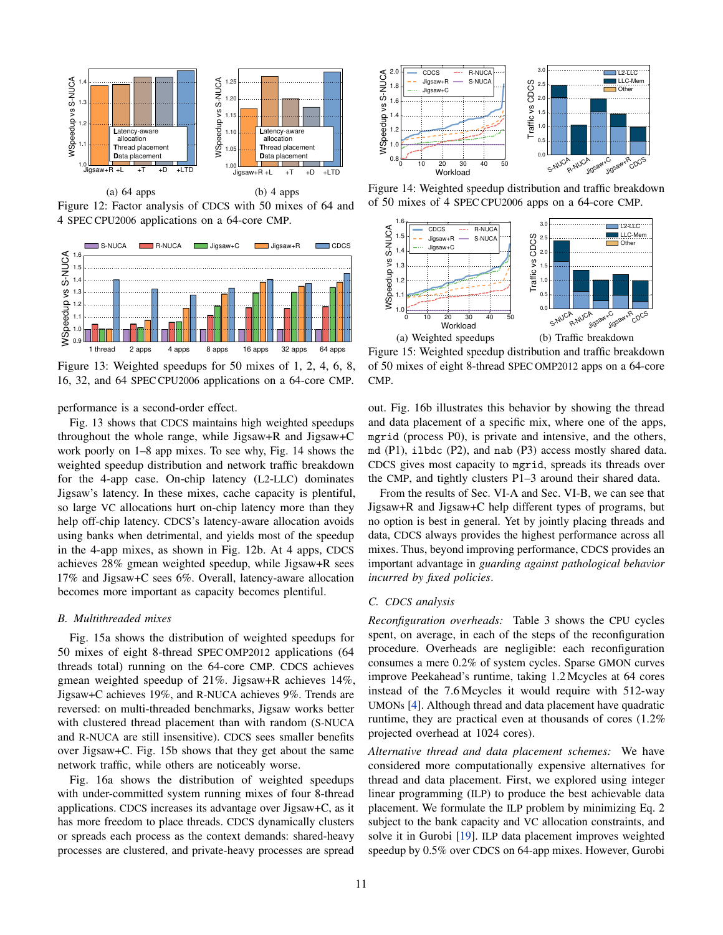<span id="page-10-1"></span>

Figure 12: Factor analysis of CDCS with 50 mixes of 64 and 4 SPEC CPU2006 applications on a 64-core CMP.

<span id="page-10-2"></span>

Figure 13: Weighted speedups for 50 mixes of 1, 2, 4, 6, 8, 16, 32, and 64 SPEC CPU2006 applications on a 64-core CMP.

performance is a second-order effect.

[Fig. 13](#page-10-2) shows that CDCS maintains high weighted speedups throughout the whole range, while Jigsaw+R and Jigsaw+C work poorly on 1–8 app mixes. To see why, [Fig. 14](#page-10-3) shows the weighted speedup distribution and network traffic breakdown for the 4-app case. On-chip latency (L2-LLC) dominates Jigsaw's latency. In these mixes, cache capacity is plentiful, so large VC allocations hurt on-chip latency more than they help off-chip latency. CDCS's latency-aware allocation avoids using banks when detrimental, and yields most of the speedup in the 4-app mixes, as shown in [Fig. 12b.](#page-10-1) At 4 apps, CDCS achieves 28% gmean weighted speedup, while Jigsaw+R sees 17% and Jigsaw+C sees 6%. Overall, latency-aware allocation becomes more important as capacity becomes plentiful.

### <span id="page-10-5"></span>*B. Multithreaded mixes*

[Fig. 15a](#page-10-4) shows the distribution of weighted speedups for 50 mixes of eight 8-thread SPEC OMP2012 applications (64 threads total) running on the 64-core CMP. CDCS achieves gmean weighted speedup of 21%. Jigsaw+R achieves 14%, Jigsaw+C achieves 19%, and R-NUCA achieves 9%. Trends are reversed: on multi-threaded benchmarks, Jigsaw works better with clustered thread placement than with random (S-NUCA and R-NUCA are still insensitive). CDCS sees smaller benefits over Jigsaw+C. [Fig. 15b](#page-10-4) shows that they get about the same network traffic, while others are noticeably worse.

[Fig. 16a](#page-11-2) shows the distribution of weighted speedups with under-committed system running mixes of four 8-thread applications. CDCS increases its advantage over Jigsaw+C, as it has more freedom to place threads. CDCS dynamically clusters or spreads each process as the context demands: shared-heavy processes are clustered, and private-heavy processes are spread

<span id="page-10-3"></span>

Figure 14: Weighted speedup distribution and traffic breakdown of 50 mixes of 4 SPEC CPU2006 apps on a 64-core CMP.

<span id="page-10-4"></span>

Figure 15: Weighted speedup distribution and traffic breakdown of 50 mixes of eight 8-thread SPEC OMP2012 apps on a 64-core CMP.

out. [Fig. 16b](#page-11-2) illustrates this behavior by showing the thread and data placement of a specific mix, where one of the apps, mgrid (process P0), is private and intensive, and the others, md (P1), ilbdc (P2), and nab (P3) access mostly shared data. CDCS gives most capacity to mgrid, spreads its threads over the CMP, and tightly clusters P1–3 around their shared data.

From the results of Sec. [VI-A](#page-9-2) and Sec. [VI-B,](#page-10-5) we can see that Jigsaw+R and Jigsaw+C help different types of programs, but no option is best in general. Yet by jointly placing threads and data, CDCS always provides the highest performance across all mixes. Thus, beyond improving performance, CDCS provides an important advantage in *guarding against pathological behavior incurred by fixed policies*.

# <span id="page-10-0"></span>*C. CDCS analysis*

*Reconfiguration overheads:* [Table 3](#page-11-0) shows the CPU cycles spent, on average, in each of the steps of the reconfiguration procedure. Overheads are negligible: each reconfiguration consumes a mere 0.2% of system cycles. Sparse GMON curves improve Peekahead's runtime, taking 1.2 Mcycles at 64 cores instead of the 7.6 Mcycles it would require with 512-way UMONs [\[4\]](#page-12-5). Although thread and data placement have quadratic runtime, they are practical even at thousands of cores (1.2% projected overhead at 1024 cores).

*Alternative thread and data placement schemes:* We have considered more computationally expensive alternatives for thread and data placement. First, we explored using integer linear programming (ILP) to produce the best achievable data placement. We formulate the ILP problem by minimizing [Eq. 2](#page-4-3) subject to the bank capacity and VC allocation constraints, and solve it in Gurobi [\[19\]](#page-12-59). ILP data placement improves weighted speedup by 0.5% over CDCS on 64-app mixes. However, Gurobi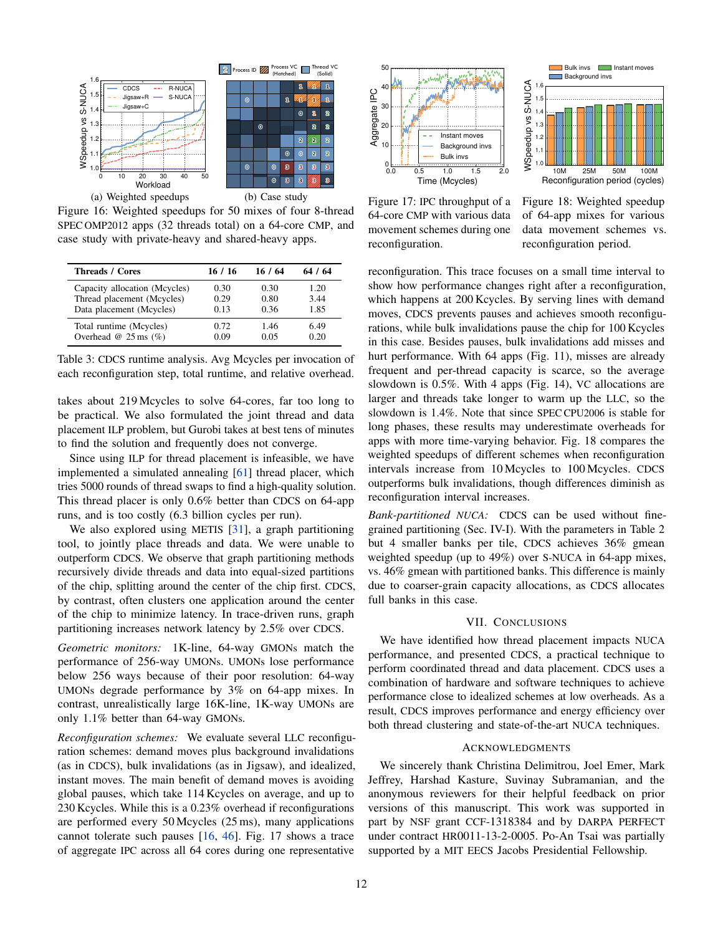<span id="page-11-2"></span>

Figure 16: Weighted speedups for 50 mixes of four 8-thread SPEC OMP2012 apps (32 threads total) on a 64-core CMP, and case study with private-heavy and shared-heavy apps.

<span id="page-11-0"></span>

| <b>Threads / Cores</b>           | 16 / 16 | 16 / 64 | 64 / 64 |
|----------------------------------|---------|---------|---------|
| Capacity allocation (Mcycles)    | 0.30    | 0.30    | 1.20    |
| Thread placement (Mcycles)       | 0.29    | 0.80    | 3.44    |
| Data placement (Mcycles)         | 0.13    | 0.36    | 1.85    |
| Total runtime (Mcycles)          | 0.72    | 1.46    | 6.49    |
| Overhead @ $25 \text{ ms } (\%)$ | 0.09    | 0.05    | 0.20    |

Table 3: CDCS runtime analysis. Avg Mcycles per invocation of each reconfiguration step, total runtime, and relative overhead.

takes about 219 Mcycles to solve 64-cores, far too long to be practical. We also formulated the joint thread and data placement ILP problem, but Gurobi takes at best tens of minutes to find the solution and frequently does not converge.

Since using ILP for thread placement is infeasible, we have implemented a simulated annealing [\[61\]](#page-12-60) thread placer, which tries 5000 rounds of thread swaps to find a high-quality solution. This thread placer is only 0.6% better than CDCS on 64-app runs, and is too costly (6.3 billion cycles per run).

We also explored using METIS [\[31\]](#page-12-61), a graph partitioning tool, to jointly place threads and data. We were unable to outperform CDCS. We observe that graph partitioning methods recursively divide threads and data into equal-sized partitions of the chip, splitting around the center of the chip first. CDCS, by contrast, often clusters one application around the center of the chip to minimize latency. In trace-driven runs, graph partitioning increases network latency by 2.5% over CDCS.

*Geometric monitors:* 1K-line, 64-way GMONs match the performance of 256-way UMONs. UMONs lose performance below 256 ways because of their poor resolution: 64-way UMONs degrade performance by 3% on 64-app mixes. In contrast, unrealistically large 16K-line, 1K-way UMONs are only 1.1% better than 64-way GMONs.

*Reconfiguration schemes:* We evaluate several LLC reconfiguration schemes: demand moves plus background invalidations (as in CDCS), bulk invalidations (as in Jigsaw), and idealized, instant moves. The main benefit of demand moves is avoiding global pauses, which take 114 Kcycles on average, and up to 230 Kcycles. While this is a 0.23% overhead if reconfigurations are performed every 50 Mcycles (25 ms), many applications cannot tolerate such pauses [\[16,](#page-12-62) [46\]](#page-12-63). [Fig. 17](#page-11-3) shows a trace of aggregate IPC across all 64 cores during one representative

<span id="page-11-3"></span>



Figure 17: IPC throughput of a 64-core CMP with various data movement schemes during one reconfiguration.

Figure 18: Weighted speedup of 64-app mixes for various data movement schemes vs. reconfiguration period.

reconfiguration. This trace focuses on a small time interval to show how performance changes right after a reconfiguration, which happens at 200 Kcycles. By serving lines with demand moves, CDCS prevents pauses and achieves smooth reconfigurations, while bulk invalidations pause the chip for 100 Kcycles in this case. Besides pauses, bulk invalidations add misses and hurt performance. With 64 apps [\(Fig. 11\)](#page-9-1), misses are already frequent and per-thread capacity is scarce, so the average slowdown is 0.5%. With 4 apps [\(Fig. 14\)](#page-10-3), VC allocations are larger and threads take longer to warm up the LLC, so the slowdown is 1.4%. Note that since SPEC CPU2006 is stable for long phases, these results may underestimate overheads for apps with more time-varying behavior. [Fig. 18](#page-11-3) compares the weighted speedups of different schemes when reconfiguration intervals increase from 10 Mcycles to 100 Mcycles. CDCS outperforms bulk invalidations, though differences diminish as reconfiguration interval increases.

<span id="page-11-1"></span>*Bank-partitioned NUCA:* CDCS can be used without finegrained partitioning [\(Sec.](#page-8-1) IV-I). With the parameters in [Table 2](#page-8-2) but 4 smaller banks per tile, CDCS achieves 36% gmean weighted speedup (up to 49%) over S-NUCA in 64-app mixes, vs. 46% gmean with partitioned banks. This difference is mainly due to coarser-grain capacity allocations, as CDCS allocates full banks in this case.

## VII. CONCLUSIONS

We have identified how thread placement impacts NUCA performance, and presented CDCS, a practical technique to perform coordinated thread and data placement. CDCS uses a combination of hardware and software techniques to achieve performance close to idealized schemes at low overheads. As a result, CDCS improves performance and energy efficiency over both thread clustering and state-of-the-art NUCA techniques.

## ACKNOWLEDGMENTS

We sincerely thank Christina Delimitrou, Joel Emer, Mark Jeffrey, Harshad Kasture, Suvinay Subramanian, and the anonymous reviewers for their helpful feedback on prior versions of this manuscript. This work was supported in part by NSF grant CCF-1318384 and by DARPA PERFECT under contract HR0011-13-2-0005. Po-An Tsai was partially supported by a MIT EECS Jacobs Presidential Fellowship.